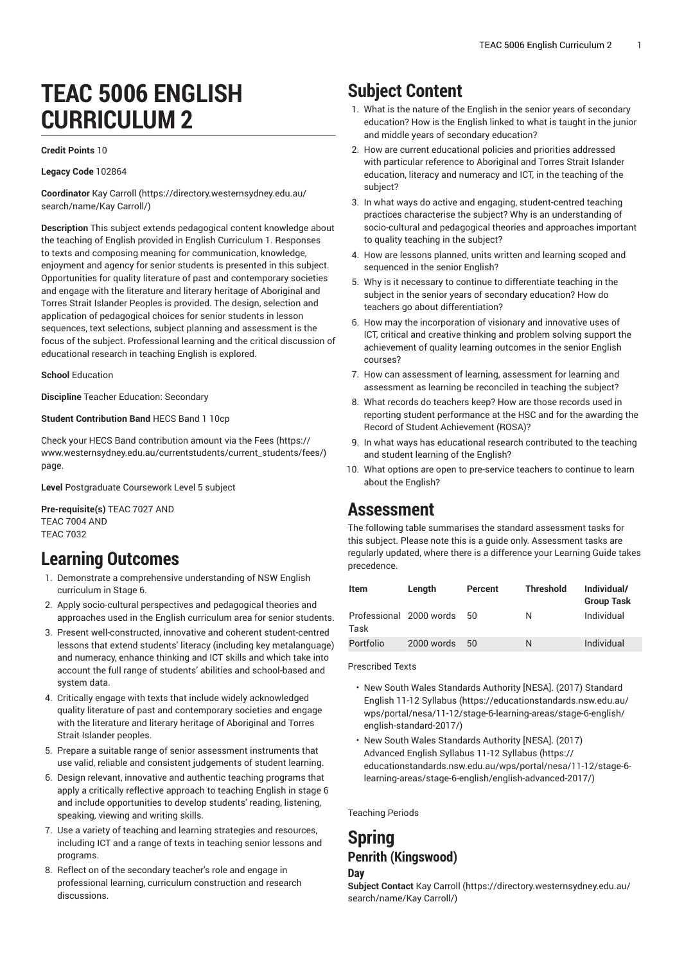# **TEAC 5006 ENGLISH CURRICULUM 2**

### **Credit Points** 10

### **Legacy Code** 102864

**Coordinator** Kay [Carroll](https://directory.westernsydney.edu.au/search/name/Kay Carroll/) [\(https://directory.westernsydney.edu.au/](https://directory.westernsydney.edu.au/search/name/Kay Carroll/) [search/name/Kay](https://directory.westernsydney.edu.au/search/name/Kay Carroll/) Carroll/)

**Description** This subject extends pedagogical content knowledge about the teaching of English provided in English Curriculum 1. Responses to texts and composing meaning for communication, knowledge, enjoyment and agency for senior students is presented in this subject. Opportunities for quality literature of past and contemporary societies and engage with the literature and literary heritage of Aboriginal and Torres Strait Islander Peoples is provided. The design, selection and application of pedagogical choices for senior students in lesson sequences, text selections, subject planning and assessment is the focus of the subject. Professional learning and the critical discussion of educational research in teaching English is explored.

### **School** Education

**Discipline** Teacher Education: Secondary

### **Student Contribution Band** HECS Band 1 10cp

Check your HECS Band contribution amount via the [Fees \(https://](https://www.westernsydney.edu.au/currentstudents/current_students/fees/) [www.westernsydney.edu.au/currentstudents/current\\_students/fees/\)](https://www.westernsydney.edu.au/currentstudents/current_students/fees/) page.

**Level** Postgraduate Coursework Level 5 subject

**Pre-requisite(s)** [TEAC 7027](/search/?P=TEAC%207027) AND [TEAC 7004](/search/?P=TEAC%207004) AND [TEAC 7032](/search/?P=TEAC%207032)

### **Learning Outcomes**

- 1. Demonstrate a comprehensive understanding of NSW English curriculum in Stage 6.
- 2. Apply socio-cultural perspectives and pedagogical theories and approaches used in the English curriculum area for senior students.
- 3. Present well-constructed, innovative and coherent student-centred lessons that extend students' literacy (including key metalanguage) and numeracy, enhance thinking and ICT skills and which take into account the full range of students' abilities and school-based and system data.
- 4. Critically engage with texts that include widely acknowledged quality literature of past and contemporary societies and engage with the literature and literary heritage of Aboriginal and Torres Strait Islander peoples.
- 5. Prepare a suitable range of senior assessment instruments that use valid, reliable and consistent judgements of student learning.
- 6. Design relevant, innovative and authentic teaching programs that apply a critically reflective approach to teaching English in stage 6 and include opportunities to develop students' reading, listening, speaking, viewing and writing skills.
- 7. Use a variety of teaching and learning strategies and resources, including ICT and a range of texts in teaching senior lessons and programs.
- 8. Reflect on of the secondary teacher's role and engage in professional learning, curriculum construction and research discussions.

# **Subject Content**

- 1. What is the nature of the English in the senior years of secondary education? How is the English linked to what is taught in the junior and middle years of secondary education?
- 2. How are current educational policies and priorities addressed with particular reference to Aboriginal and Torres Strait Islander education, literacy and numeracy and ICT, in the teaching of the subject?
- 3. In what ways do active and engaging, student-centred teaching practices characterise the subject? Why is an understanding of socio-cultural and pedagogical theories and approaches important to quality teaching in the subject?
- 4. How are lessons planned, units written and learning scoped and sequenced in the senior English?
- 5. Why is it necessary to continue to differentiate teaching in the subject in the senior years of secondary education? How do teachers go about differentiation?
- 6. How may the incorporation of visionary and innovative uses of ICT, critical and creative thinking and problem solving support the achievement of quality learning outcomes in the senior English courses?
- 7. How can assessment of learning, assessment for learning and assessment as learning be reconciled in teaching the subject?
- 8. What records do teachers keep? How are those records used in reporting student performance at the HSC and for the awarding the Record of Student Achievement (ROSA)?
- 9. In what ways has educational research contributed to the teaching and student learning of the English?
- 10. What options are open to pre-service teachers to continue to learn about the English?

# **Assessment**

The following table summarises the standard assessment tasks for this subject. Please note this is a guide only. Assessment tasks are regularly updated, where there is a difference your Learning Guide takes precedence.

| Item                            | Length     | Percent | <b>Threshold</b> | Individual/<br><b>Group Task</b> |
|---------------------------------|------------|---------|------------------|----------------------------------|
| Professional 2000 words<br>Task |            | 50.     | N                | Individual                       |
| Portfolio                       | 2000 words | 50      | N                | Individual                       |

Prescribed Texts

- New South Wales [Standards](https://educationstandards.nsw.edu.au/wps/portal/nesa/11-12/stage-6-learning-areas/stage-6-english/english-standard-2017/) Authority [NESA]. (2017) Standard [English 11-12 Syllabus \(https://educationstandards.nsw.edu.au/](https://educationstandards.nsw.edu.au/wps/portal/nesa/11-12/stage-6-learning-areas/stage-6-english/english-standard-2017/) [wps/portal/nesa/11-12/stage-6-learning-areas/stage-6-english/](https://educationstandards.nsw.edu.au/wps/portal/nesa/11-12/stage-6-learning-areas/stage-6-english/english-standard-2017/) [english-standard-2017/\)](https://educationstandards.nsw.edu.au/wps/portal/nesa/11-12/stage-6-learning-areas/stage-6-english/english-standard-2017/)
- New South Wales [Standards](https://educationstandards.nsw.edu.au/wps/portal/nesa/11-12/stage-6-learning-areas/stage-6-english/english-advanced-2017/) Authority [NESA]. (2017) [Advanced](https://educationstandards.nsw.edu.au/wps/portal/nesa/11-12/stage-6-learning-areas/stage-6-english/english-advanced-2017/) English Syllabus 11-12 Syllabus [\(https://](https://educationstandards.nsw.edu.au/wps/portal/nesa/11-12/stage-6-learning-areas/stage-6-english/english-advanced-2017/) [educationstandards.nsw.edu.au/wps/portal/nesa/11-12/stage-6](https://educationstandards.nsw.edu.au/wps/portal/nesa/11-12/stage-6-learning-areas/stage-6-english/english-advanced-2017/) [learning-areas/stage-6-english/english-advanced-2017/](https://educationstandards.nsw.edu.au/wps/portal/nesa/11-12/stage-6-learning-areas/stage-6-english/english-advanced-2017/))

Teaching Periods

## **Spring Penrith (Kingswood)**

### **Day**

**Subject Contact** Kay [Carroll \(https://directory.westernsydney.edu.au/](https://directory.westernsydney.edu.au/search/name/Kay Carroll/) [search/name/Kay](https://directory.westernsydney.edu.au/search/name/Kay Carroll/) Carroll/)